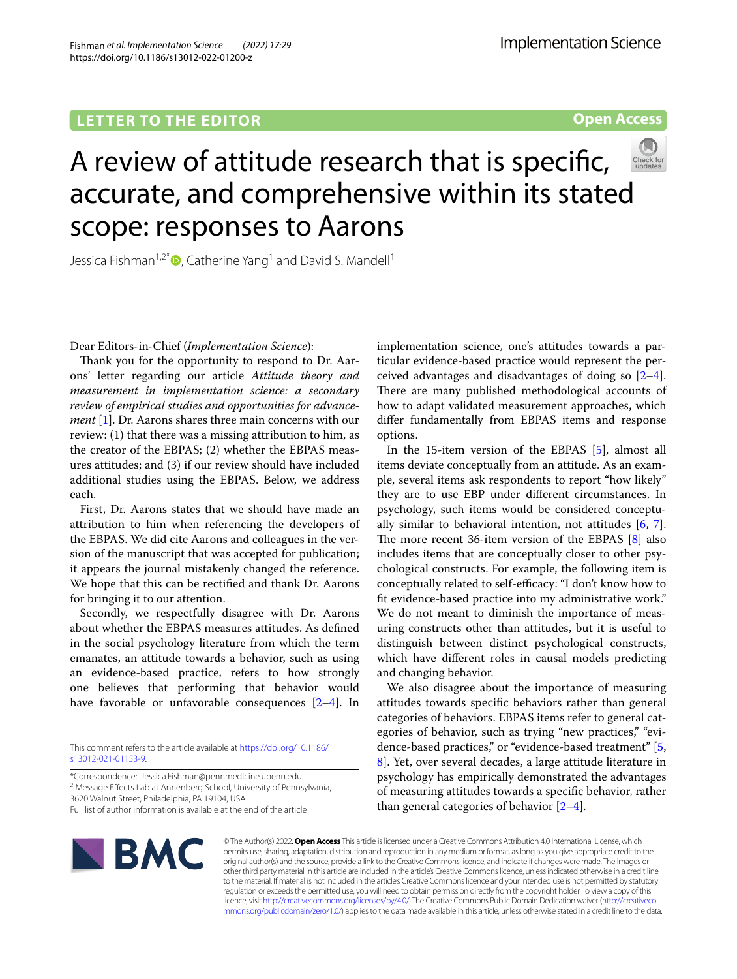Fishman *et al. Implementation Science (2022) 17:29*  https://doi.org/10.1186/s13012-022-01200-z

**Open Access**

# A review of attitude research that is specifc, accurate, and comprehensive within its stated scope: responses to Aarons

Jessica Fishman<sup>1,2[\\*](http://orcid.org/0000-0003-2867-8166)</sup> $\bullet$ , Catherine Yang<sup>1</sup> and David S. Mandell<sup>1</sup>

Dear Editors-in-Chief (*Implementation Science*):

Thank you for the opportunity to respond to Dr. Aarons' letter regarding our article *Attitude theory and measurement in implementation science: a secondary review of empirical studies and opportunities for advancement* [[1\]](#page-1-0). Dr. Aarons shares three main concerns with our review: (1) that there was a missing attribution to him, as the creator of the EBPAS; (2) whether the EBPAS measures attitudes; and (3) if our review should have included additional studies using the EBPAS. Below, we address each.

First, Dr. Aarons states that we should have made an attribution to him when referencing the developers of the EBPAS. We did cite Aarons and colleagues in the version of the manuscript that was accepted for publication; it appears the journal mistakenly changed the reference. We hope that this can be rectifed and thank Dr. Aarons for bringing it to our attention.

Secondly, we respectfully disagree with Dr. Aarons about whether the EBPAS measures attitudes. As defned in the social psychology literature from which the term emanates, an attitude towards a behavior, such as using an evidence-based practice, refers to how strongly one believes that performing that behavior would have favorable or unfavorable consequences [\[2](#page-1-1)[–4](#page-2-0)]. In

This comment refers to the article available at [https://doi.org/10.1186/](https://doi.org/10.1186/s13012-021-01153-9) [s13012-021-01153-9](https://doi.org/10.1186/s13012-021-01153-9).

\*Correspondence: Jessica.Fishman@pennmedicine.upenn.edu

<sup>2</sup> Message Effects Lab at Annenberg School, University of Pennsylvania, 3620 Walnut Street, Philadelphia, PA 19104, USA

Full list of author information is available at the end of the article

implementation science, one's attitudes towards a particular evidence-based practice would represent the perceived advantages and disadvantages of doing so [\[2](#page-1-1)[–4](#page-2-0)]. There are many published methodological accounts of how to adapt validated measurement approaches, which difer fundamentally from EBPAS items and response options.

In the 15-item version of the EBPAS [[5\]](#page-2-1), almost all items deviate conceptually from an attitude. As an example, several items ask respondents to report "how likely" they are to use EBP under diferent circumstances. In psychology, such items would be considered conceptually similar to behavioral intention, not attitudes [\[6](#page-2-2), [7](#page-2-3)]. The more recent 36-item version of the EBPAS  $[8]$  $[8]$  also includes items that are conceptually closer to other psychological constructs. For example, the following item is conceptually related to self-efficacy: "I don't know how to ft evidence-based practice into my administrative work." We do not meant to diminish the importance of measuring constructs other than attitudes, but it is useful to distinguish between distinct psychological constructs, which have diferent roles in causal models predicting and changing behavior.

We also disagree about the importance of measuring attitudes towards specifc behaviors rather than general categories of behaviors. EBPAS items refer to general categories of behavior, such as trying "new practices," "evidence-based practices," or "evidence-based treatment" [\[5](#page-2-1), [8\]](#page-2-4). Yet, over several decades, a large attitude literature in psychology has empirically demonstrated the advantages of measuring attitudes towards a specifc behavior, rather than general categories of behavior  $[2-4]$  $[2-4]$  $[2-4]$ .



© The Author(s) 2022. **Open Access** This article is licensed under a Creative Commons Attribution 4.0 International License, which permits use, sharing, adaptation, distribution and reproduction in any medium or format, as long as you give appropriate credit to the original author(s) and the source, provide a link to the Creative Commons licence, and indicate if changes were made. The images or other third party material in this article are included in the article's Creative Commons licence, unless indicated otherwise in a credit line to the material. If material is not included in the article's Creative Commons licence and your intended use is not permitted by statutory regulation or exceeds the permitted use, you will need to obtain permission directly from the copyright holder. To view a copy of this licence, visit [http://creativecommons.org/licenses/by/4.0/.](http://creativecommons.org/licenses/by/4.0/) The Creative Commons Public Domain Dedication waiver ([http://creativeco](http://creativecommons.org/publicdomain/zero/1.0/) [mmons.org/publicdomain/zero/1.0/](http://creativecommons.org/publicdomain/zero/1.0/)) applies to the data made available in this article, unless otherwise stated in a credit line to the data.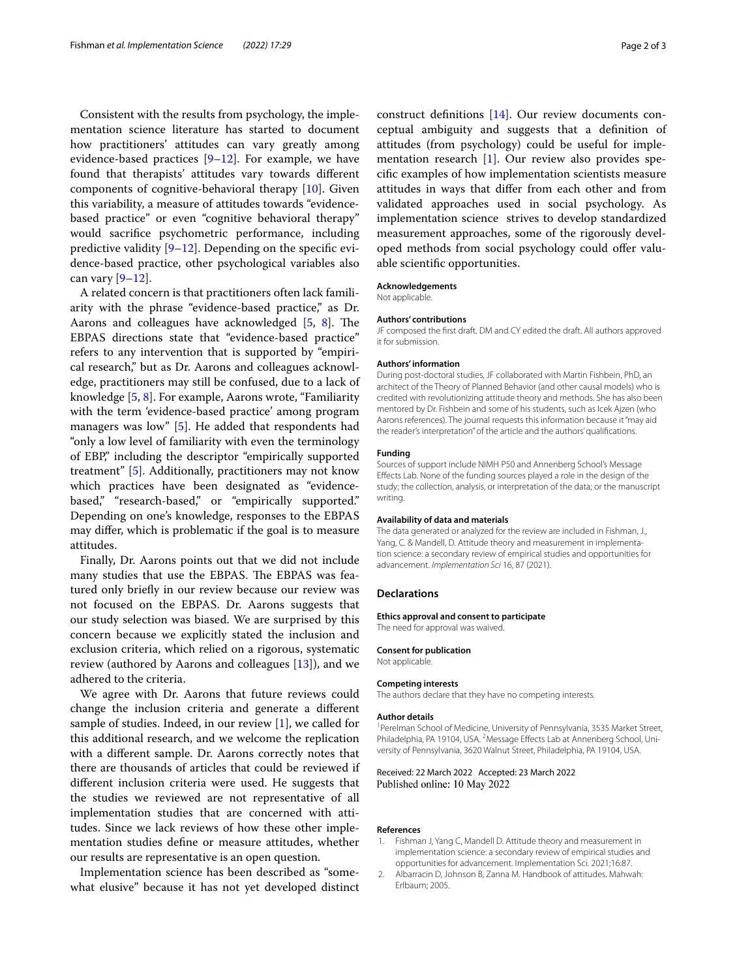Consistent with the results from psychology, the implementation science literature has started to document how practitioners' attitudes can vary greatly among evidence-based practices  $[9-12]$  $[9-12]$  $[9-12]$ . For example, we have found that therapists' attitudes vary towards diferent components of cognitive-behavioral therapy [\[10](#page-2-7)]. Given this variability, a measure of attitudes towards "evidencebased practice" or even "cognitive behavioral therapy" would sacrifce psychometric performance, including predictive validity [\[9–](#page-2-5)[12\]](#page-2-6). Depending on the specifc evidence-based practice, other psychological variables also can vary  $[9-12]$  $[9-12]$  $[9-12]$ .

A related concern is that practitioners often lack familiarity with the phrase "evidence-based practice," as Dr. Aarons and colleagues have acknowledged [[5,](#page-2-1) [8\]](#page-2-4). The EBPAS directions state that "evidence-based practice" refers to any intervention that is supported by "empirical research," but as Dr. Aarons and colleagues acknowledge, practitioners may still be confused, due to a lack of knowledge [\[5](#page-2-1), [8\]](#page-2-4). For example, Aarons wrote, "Familiarity with the term 'evidence-based practice' among program managers was low" [[5\]](#page-2-1). He added that respondents had "only a low level of familiarity with even the terminology of EBP," including the descriptor "empirically supported treatment" [\[5\]](#page-2-1). Additionally, practitioners may not know which practices have been designated as "evidencebased," "research-based," or "empirically supported." Depending on one's knowledge, responses to the EBPAS may difer, which is problematic if the goal is to measure attitudes.

Finally, Dr. Aarons points out that we did not include many studies that use the EBPAS. The EBPAS was featured only briefy in our review because our review was not focused on the EBPAS. Dr. Aarons suggests that our study selection was biased. We are surprised by this concern because we explicitly stated the inclusion and exclusion criteria, which relied on a rigorous, systematic review (authored by Aarons and colleagues [\[13\]](#page-2-8)), and we adhered to the criteria.

We agree with Dr. Aarons that future reviews could change the inclusion criteria and generate a diferent sample of studies. Indeed, in our review [[1](#page-1-0)], we called for this additional research, and we welcome the replication with a diferent sample. Dr. Aarons correctly notes that there are thousands of articles that could be reviewed if diferent inclusion criteria were used. He suggests that the studies we reviewed are not representative of all implementation studies that are concerned with attitudes. Since we lack reviews of how these other implementation studies defne or measure attitudes, whether our results are representative is an open question.

Implementation science has been described as "somewhat elusive" because it has not yet developed distinct

ceptual ambiguity and suggests that a defnition of attitudes (from psychology) could be useful for implementation research [[1\]](#page-1-0). Our review also provides specifc examples of how implementation scientists measure attitudes in ways that difer from each other and from validated approaches used in social psychology. As implementation science strives to develop standardized measurement approaches, some of the rigorously developed methods from social psychology could offer valuable scientifc opportunities.

## **Acknowledgements**

Not applicable.

# **Authors' contributions**

JF composed the frst draft. DM and CY edited the draft. All authors approved it for submission.

## **Authors' information**

During post-doctoral studies, JF collaborated with Martin Fishbein, PhD, an architect of the Theory of Planned Behavior (and other causal models) who is credited with revolutionizing attitude theory and methods. She has also been mentored by Dr. Fishbein and some of his students, such as Icek Ajzen (who Aarons references). The journal requests this information because it "may aid the reader's interpretation" of the article and the authors' qualifcations.

# **Funding**

Sources of support include NIMH P50 and Annenberg School's Message Efects Lab. None of the funding sources played a role in the design of the study; the collection, analysis, or interpretation of the data; or the manuscript writing.

#### **Availability of data and materials**

The data generated or analyzed for the review are included in Fishman, J., Yang, C. & Mandell, D. Attitude theory and measurement in implementation science: a secondary review of empirical studies and opportunities for advancement. *Implementation Sci* 16, 87 (2021).

# **Declarations**

## **Ethics approval and consent to participate**

The need for approval was waived.

# **Consent for publication**

Not applicable.

## **Competing interests**

The authors declare that they have no competing interests.

#### **Author details**

<sup>1</sup> Perelman School of Medicine, University of Pennsylvania, 3535 Market Street, Philadelphia, PA 19104, USA. <sup>2</sup> Message Effects Lab at Annenberg School, University of Pennsylvania, 3620 Walnut Street, Philadelphia, PA 19104, USA.

# Received: 22 March 2022 Accepted: 23 March 2022 Published online: 10 May 2022

# **References**

- <span id="page-1-0"></span>1. Fishman J, Yang C, Mandell D. Attitude theory and measurement in implementation science: a secondary review of empirical studies and opportunities for advancement. Implementation Sci. 2021;16:87.
- <span id="page-1-1"></span>2. Albarracin D, Johnson B, Zanna M. Handbook of attitudes. Mahwah: Erlbaum; 2005.